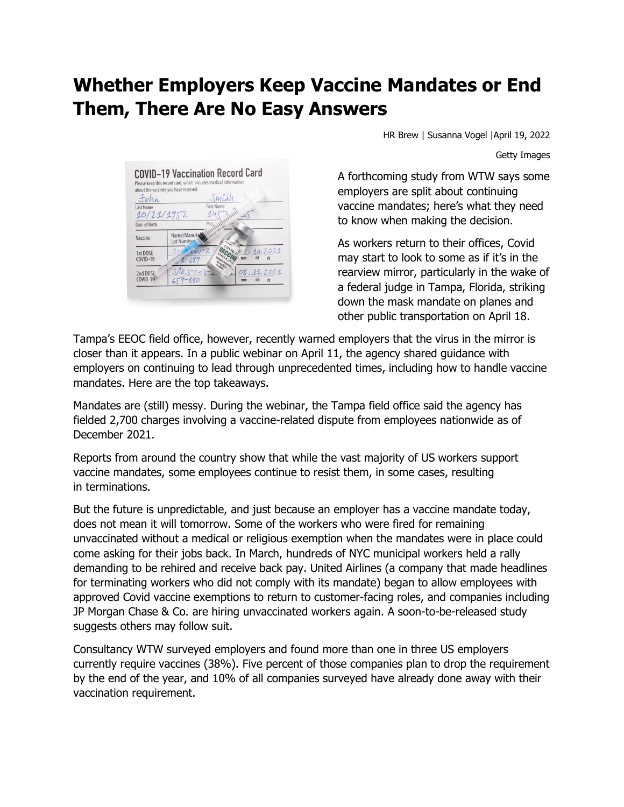## **Whether Employers Keep Vaccine Mandates or End Them, There Are No Easy Answers**



HR Brew | Susanna Vogel |April 19, 2022

Getty Images

A forthcoming study from WTW says some employers are split about continuing vaccine mandates; here's what they need to know when making the decision.

As workers return to their offices, Covid may start to look to some as if it's in the rearview mirror, particularly in the wake of a federal judge in Tampa, Florida, striking down the mask mandate on planes and other public transportation on April 18.

Tampa's EEOC field office, however, recently warned employers that the virus in the mirror is closer than it appears. In a public webinar on April 11, the agency shared guidance with employers on continuing to lead through unprecedented times, including how to handle vaccine mandates. Here are the top takeaways.

Mandates are (still) messy. During the webinar, the Tampa field office said the agency has fielded 2,700 charges involving a vaccine-related dispute from employees nationwide as of December 2021.

Reports from around the country show that while the vast majority of US workers support vaccine mandates, some employees continue to resist them, in some cases, resulting in terminations.

But the future is unpredictable, and just because an employer has a vaccine mandate today, does not mean it will tomorrow. Some of the workers who were fired for remaining unvaccinated without a medical or religious exemption when the mandates were in place could come asking for their jobs back. In March, hundreds of NYC municipal workers held a rally demanding to be rehired and receive back pay. United Airlines (a company that made headlines for terminating workers who did not comply with its mandate) began to allow employees with approved Covid vaccine exemptions to return to customer-facing roles, and companies including JP Morgan Chase & Co. are hiring unvaccinated workers again. A soon-to-be-released study suggests others may follow suit.

Consultancy WTW surveyed employers and found more than one in three US employers currently require vaccines (38%). Five percent of those companies plan to drop the requirement by the end of the year, and 10% of all companies surveyed have already done away with their vaccination requirement.